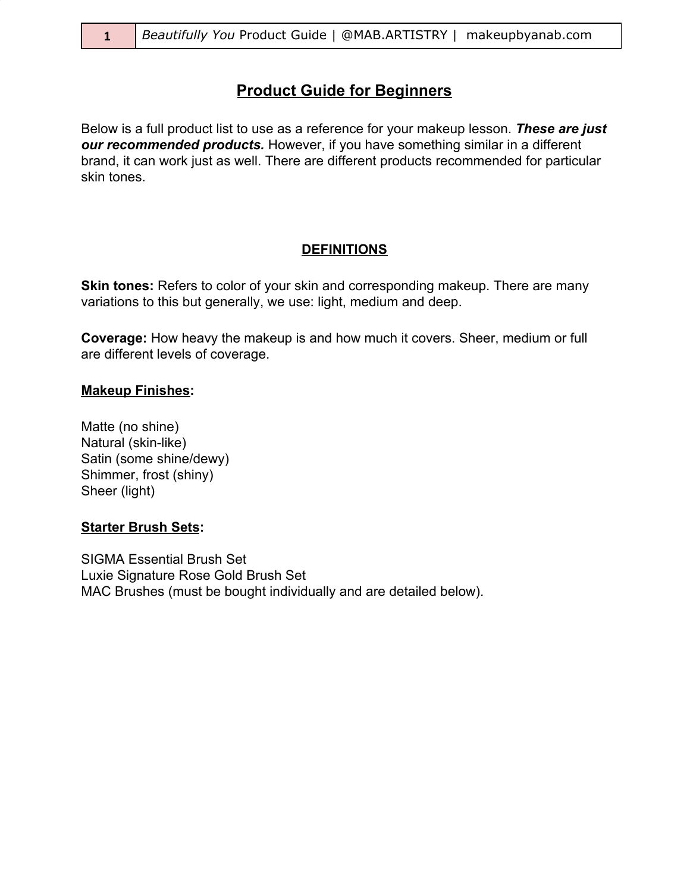# **Product Guide for Beginners**

Below is a full product list to use as a reference for your makeup lesson. *These are just our recommended products.* However, if you have something similar in a different brand, it can work just as well. There are different products recommended for particular skin tones.

#### **DEFINITIONS**

**Skin tones:** Refers to color of your skin and corresponding makeup. There are many variations to this but generally, we use: light, medium and deep.

**Coverage:** How heavy the makeup is and how much it covers. Sheer, medium or full are different levels of coverage.

#### **Makeup Finishes:**

Matte (no shine) Natural (skin-like) Satin (some shine/dewy) Shimmer, frost (shiny) Sheer (light)

#### **Starter Brush Sets:**

SIGMA Essential Brush Set Luxie Signature Rose Gold Brush Set MAC Brushes (must be bought individually and are detailed below).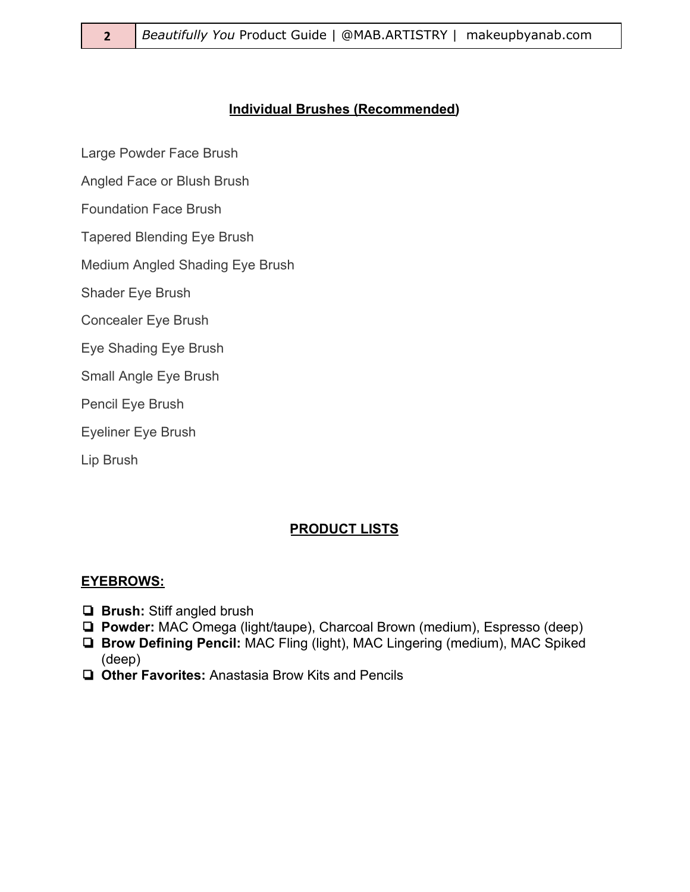### **Individual Brushes (Recommended)**

Large Powder Face Brush

Angled Face or Blush Brush

Foundation Face Brush

Tapered Blending Eye Brush

Medium Angled Shading Eye Brush

Shader Eye Brush

Concealer Eye Brush

Eye Shading Eye Brush

Small Angle Eye Brush

Pencil Eye Brush

Eyeliner Eye Brush

Lip Brush

## **PRODUCT LISTS**

#### **EYEBROWS:**

- ❏ **Brush:** Stiff angled brush
- ❏ **Powder:** MAC Omega (light/taupe), Charcoal Brown (medium), Espresso (deep)
- ❏ **Brow Defining Pencil:** MAC Fling (light), MAC Lingering (medium), MAC Spiked (deep)
- ❏ **Other Favorites:** Anastasia Brow Kits and Pencils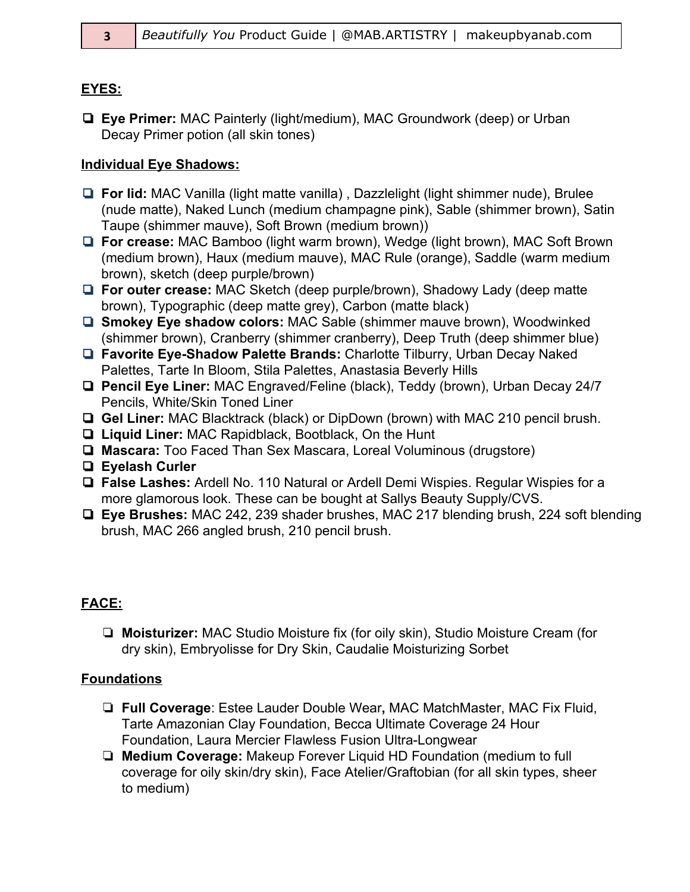### **EYES:**

❏ **Eye Primer:** MAC Painterly (light/medium), MAC Groundwork (deep) or Urban Decay Primer potion (all skin tones)

### **Individual Eye Shadows:**

- ❏ **For lid:** MAC Vanilla (light matte vanilla) , Dazzlelight (light shimmer nude), Brulee (nude matte), Naked Lunch (medium champagne pink), Sable (shimmer brown), Satin Taupe (shimmer mauve), Soft Brown (medium brown))
- ❏ **For crease:** MAC Bamboo (light warm brown), Wedge (light brown), MAC Soft Brown (medium brown), Haux (medium mauve), MAC Rule (orange), Saddle (warm medium brown), sketch (deep purple/brown)
- ❏ **For outer crease:** MAC Sketch (deep purple/brown), Shadowy Lady (deep matte brown), Typographic (deep matte grey), Carbon (matte black)
- ❏ **Smokey Eye shadow colors:** MAC Sable (shimmer mauve brown), Woodwinked (shimmer brown), Cranberry (shimmer cranberry), Deep Truth (deep shimmer blue)
- ❏ **Favorite Eye-Shadow Palette Brands:** Charlotte Tilburry, Urban Decay Naked Palettes, Tarte In Bloom, Stila Palettes, Anastasia Beverly Hills
- ❏ **Pencil Eye Liner:** MAC Engraved/Feline (black), Teddy (brown), Urban Decay 24/7 Pencils, White/Skin Toned Liner
- ❏ **Gel Liner:** MAC Blacktrack (black) or DipDown (brown) with MAC 210 pencil brush.
- ❏ **Liquid Liner:** MAC Rapidblack, Bootblack, On the Hunt
- ❏ **Mascara:** Too Faced Than Sex Mascara, Loreal Voluminous (drugstore)
- ❏ **Eyelash Curler**
- ❏ **False Lashes:** Ardell No. 110 Natural or Ardell Demi Wispies. Regular Wispies for a more glamorous look. These can be bought at Sallys Beauty Supply/CVS.
- ❏ **Eye Brushes:** MAC 242, 239 shader brushes, MAC 217 blending brush, 224 soft blending brush, MAC 266 angled brush, 210 pencil brush.

## **FACE:**

❏ **Moisturizer:** MAC Studio Moisture fix (for oily skin), Studio Moisture Cream (for dry skin), Embryolisse for Dry Skin, Caudalie Moisturizing Sorbet

## **Foundations**

- ❏ **Full Coverage**: Estee Lauder Double Wear**,** MAC MatchMaster, MAC Fix Fluid, Tarte Amazonian Clay Foundation, Becca Ultimate Coverage 24 Hour Foundation, Laura Mercier Flawless Fusion Ultra-Longwear
- ❏ **Medium Coverage:** Makeup Forever Liquid HD Foundation (medium to full coverage for oily skin/dry skin), Face Atelier/Graftobian (for all skin types, sheer to medium)